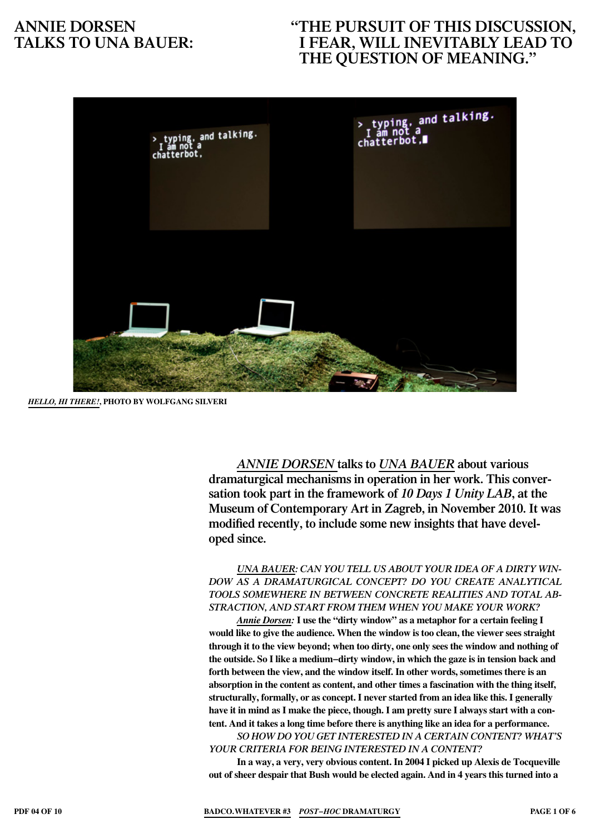# **"The pursuit of this discussion, I fear, will inevitably lead to the question of meaning."**



*Hello, hi there!***, photo BY Wolfgang Silveri**

*Annie Dorsen* **talks to** *Una Bauer* **about various dramaturgical mechanisms in operation in her work. This conversation took part in the framework of** *10 Days 1 Unity LAB***, at the Museum of Contemporary Art in Zagreb, in November 2010. It was modified recently, to include some new insights that have developed since.**

*Una Bauer: Can you tell us about your idea of a dirty window as a dramaturgical concept? Do you create analytical tools somewhere in between concrete realities and total abstraction, and start from them when you make your work?*

*Annie Dorsen:* **I use the "dirty window" as a metaphor for a certain feeling I would like to give the audience. When the window is too clean, the viewer sees straight through it to the view beyond; when too dirty, one only sees the window and nothing of the outside. So I like a medium−dirty window, in which the gaze is in tension back and forth between the view, and the window itself. In other words, sometimes there is an absorption in the content as content, and other times a fascination with the thing itself, structurally, formally, or as concept. I never started from an idea like this. I generally** have it in mind as I make the piece, though. I am pretty sure I always start with a con**tent. And it takes a long time before there is anything like an idea for a performance.**

*So how do you get interested in a certain content? What's your criteria for being interested in a content?* 

**In a way, a very, very obvious content. In 2004 I picked up Alexis de Tocqueville out of sheer despair that Bush would be elected again. And in 4 years this turned into a**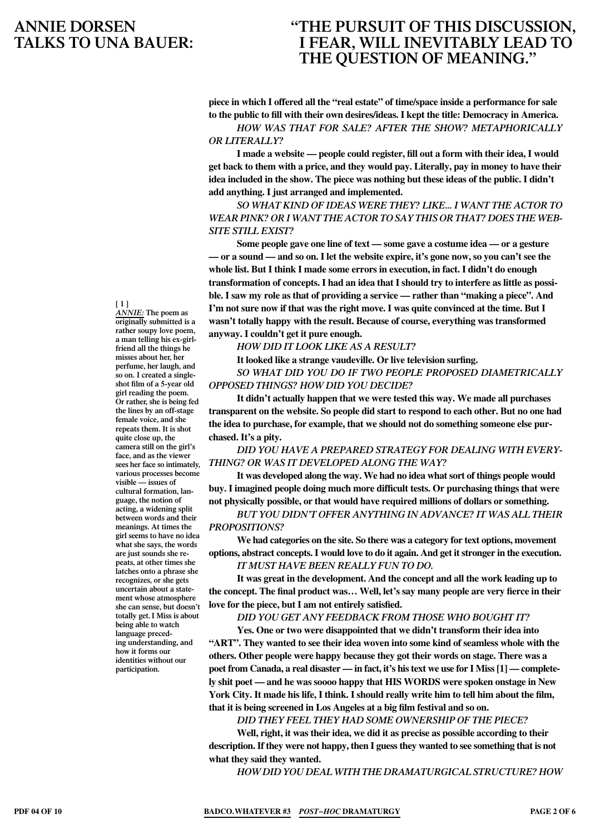### **"The pursuit of this discussion, I fear, will inevitably lead to the question of meaning."**

**piece in which I offered all the "real estate" of time/space inside a performance for sale to the public to fill with their own desires/ideas. I kept the title: Democracy in America.**

*How was that for sale? After the show? Metaphorically or literally?*

**I made a website — people could register, fill out a form with their idea, I would get back to them with a price, and they would pay. Literally, pay in money to have their idea included in the show. The piece was nothing but these ideas of the public. I didn't add anything. I just arranged and implemented.**

*So what kind of ideas were they? Like... I want the actor to wear pink? Or I want the actor to say this or that? Does the website still exist?*

**Some people gave one line of text — some gave a costume idea — or a gesture** — or a sound — and so on. I let the website expire, it's gone now, so you can't see the **whole list. But I think I made some errors in execution, in fact. I didn't do enough transformation of concepts. I had an idea that I should try to interfere as little as possible. I saw my role as that of providing a service — rather than "making a piece". And I'm not sure now if that was the right move. I was quite convinced at the time. But I wasn't totally happy with the result. Because of course, everything was transformed anyway. I couldn't get it pure enough.**

*How did it look like as a result?*

**It looked like a strange vaudeville. Or live television surfing.**

*So what did you do if two people proposed diametrically opposed things? How did you decide?*

**It didn't actually happen that we were tested this way. We made all purchases transparent on the website. So people did start to respond to each other. But no one had the idea to purchase, for example, that we should not do something someone else purchased. It's a pity.**

*Did you have a prepared strategy for dealing with everything? Or was it developed along the way?*

**It was developed along the way. We had no idea whatsort of things people would buy. I imagined people doing much more difficult tests. Or purchasing things that were not physically possible, or that would have required millions of dollars or something.**

*But you didn't offer anything in advance? It was all their propositions?*

**We had categories on the site. So there was a category for text options, movement options, abstract concepts.I would love to do it again. And get itstronger in the execution.** *It must have been really fun to do.* 

**It was great in the development. And the concept and all the work leading up to the concept. The final product was… Well, let's say many people are very fierce in their love for the piece, but I am not entirely satisfied.**

#### *Did you get any feedback from those who bought it?*

**Yes. One or two were disappointed that we didn't transform their idea into "ART". They wanted to see their idea woven into some kind of seamless whole with the others. Other people were happy because they got their words on stage. There was a poet from Canada, a real disaster — in fact, it's histext we use for I Miss[1] — completely shit poet — and he was soooo happy that HIS WORDS were spoken onstage in New York City. It made his life, I think. I should really write him to tell him about the film, that it is being screened in Los Angeles at a big film festival and so on.**

*Did they feel they had some ownership of the piece?*

**Well, right, it was their idea, we did it as precise as possible according to their description.If they were not happy, then I guessthey wanted to see something that is not what they said they wanted.**

*How did you deal with the dramaturgical structure? How* 

**[ 1 ]** 

*Annie:* **The poem as originally submitted is a rather soupy love poem, a man telling his ex-girlfriend all the things he misses about her, her perfume, her laugh, and so on. I created a singleshot film of a 5-year old girl reading the poem. Or rather, she is being fed the lines by an off-stage female voice, and she repeats them. It is shot quite close up, the camera still on the girl's face, and as the viewer sees her face so intimately, various processes become visible — issues of cultural formation, language, the notion of acting, a widening split between words and their meanings. At times the girl seems to have no idea what she says, the words are just sounds she repeats, at other times she latches onto a phrase she recognizes, or she gets uncertain about a statement whose atmosphere she can sense, but doesn't totally get.I Miss is about being able to watch language preceding understanding, and how it forms our identities without our participation.**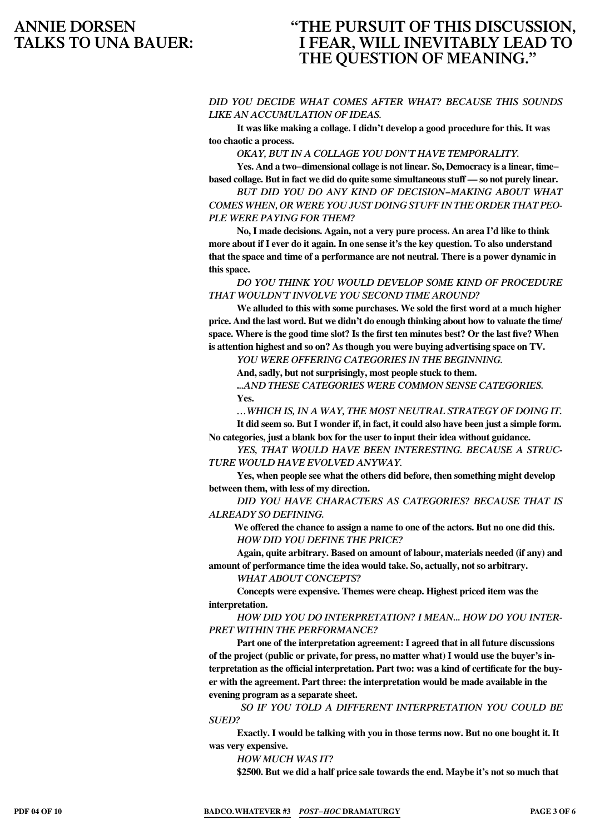# **"The pursuit of this discussion, I fear, will inevitably lead to the question of meaning."**

#### *did you decide what comes after what? Because this sounds like an accumulation of ideas.*

**It was like making a collage. I didn't develop a good procedure for this. It was too chaotic a process.**

*Okay, but in a collage you don't have temporality.* 

**Yes. And a two−dimensional collage is not linear. So, Democracy is a linear, time− based collage. But in fact we did do quite some simultaneousstuff — so not purely linear.**

*But did you do any kind of decision−making about what comes when, or were you just doing stuff in the order that people were paying for them?*

**No, I made decisions. Again, not a very pure process. An area I'd like to think more about if I ever do it again. In one sense it's the key question. To also understand that the space and time of a performance are not neutral. There is a power dynamic in this space.**

*Do you think you would develop some kind of procedure that wouldn't involve you second time around?*

**We alluded to this with some purchases. We sold the first word at a much higher price. And the last word. But we didn't do enough thinking about how to valuate the time/ space. Where is the good time slot? Is the first ten minutes best? Or the last five? When is attention highest and so on? As though you were buying advertising space on TV.**

*You were offering categories in the beginning.* 

**And, sadly, but not surprisingly, most people stuck to them.**

**.***..and these categories were common sense categories.* **Yes.**

*…which is, in a way, the most neutral strategy of doing it.* **It did seem so. But I wonder if, in fact, it could also have been just a simple form.**

**No categories, just a blank box for the user to input their idea without guidance.** *Yes, that would have been interesting. Because a structure would have evolved anyway.* 

**Yes, when people see what the others did before, then something might develop between them, with less of my direction.**

*Did you have characters as categories? Because that is already so defining.* 

**We offered the chance to assign a name to one of the actors. But no one did this.** *How did you define the price?*

**Again, quite arbitrary. Based on amount of labour, materials needed (if any) and amount of performance time the idea would take. So, actually, not so arbitrary.**

*What about concepts?*

**Concepts were expensive. Themes were cheap. Highest priced item was the interpretation.**

*How did you do interpretation? I mean... how do you interpret within the performance?*

**Part one of the interpretation agreement: I agreed that in all future discussions of the project (public or private, for press, no matter what) I would use the buyer's interpretation as the official interpretation. Part two: was a kind of certificate for the buyer with the agreement. Part three: the interpretation would be made available in the evening program as a separate sheet.**

*So if you told a different interpretation you could be sued?*

**Exactly. I would be talking with you in those terms now. But no one bought it. It was very expensive.**

*How much was it?* 

**\$2500. But we did a half price sale towards the end. Maybe it's not so much that**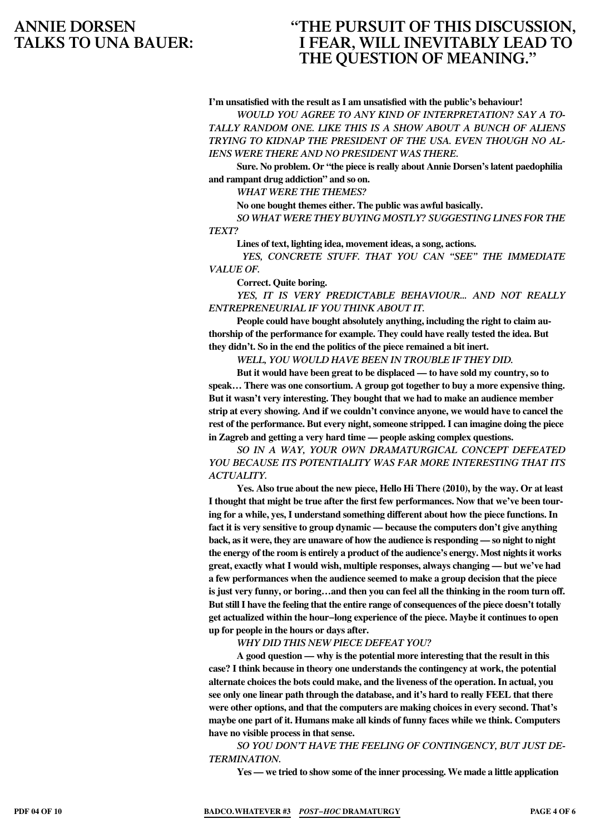### **"The pursuit of this discussion, I fear, will inevitably lead to the question of meaning."**

**I'm unsatisfied with the result as I am unsatisfied with the public's behaviour!**

*Would you agree to any kind of interpretation? Say a totally random one. Like this is a show about a bunch of aliens trying to kidnap the president of the USA. Even though no aliens were there and no president was there.* 

**Sure. No problem. Or "the piece is really about Annie Dorsen's latent paedophilia and rampant drug addiction" and so on.**

*What were the themes?*

**No one bought themes either. The public was awful basically.**

*So what were they buying mostly? Suggesting lines for the text?*

**Lines of text, lighting idea, movement ideas, a song, actions.**

*Yes, concrete stuff. That you can "see" the immediate value of.*

**Correct. Quite boring.**

*Yes, it is very predictable behaviour... and not really ENTREPRENEURIAL if you think about it.*

**People could have bought absolutely anything, including the right to claim authorship of the performance for example. They could have really tested the idea. But they didn't. So in the end the politics of the piece remained a bit inert.**

*Well, you would have been in trouble if they did.*

**But it would have been great to be displaced — to have sold my country, so to speak… There was one consortium. A group got together to buy a more expensive thing. But it wasn't very interesting. They bought that we had to make an audience member strip at every showing. And if we couldn't convince anyone, we would have to cancel the rest of the performance. But every night, someone stripped. I can imagine doing the piece in Zagreb and getting a very hard time — people asking complex questions.**

*So in a way, your own dramaturgical concept defeated you because its potentiality was far more interesting that its actuality.*

**Yes. Also true about the new piece, Hello Hi There (2010), by the way. Or at least I thought that might be true after the first few performances. Now that we've been touring for a while, yes, I understand something different about how the piece functions. In fact it is very sensitive to group dynamic — because the computers don't give anything back, asit were, they are unaware of how the audience is responding — so night to night the energy of the room is entirely a product of the audience's energy. Most nightsit works great, exactly what I would wish, multiple responses, always changing — but we've had a few performances when the audience seemed to make a group decision that the piece is just very funny, or boring…and then you can feel all the thinking in the room turn off. ButstillI have the feeling that the entire range of consequences of the piece doesn't totally get actualized within the hour−long experience of the piece. Maybe it continues to open up for people in the hours or days after.**

*Why did this new piece defeat you?*

**A good question — why is the potential more interesting that the result in this case? I think because in theory one understands the contingency at work, the potential alternate choices the bots could make, and the liveness of the operation. In actual, you see only one linear path through the database, and it's hard to really FEEL that there were other options, and that the computers are making choices in every second. That's maybe one part of it. Humans make all kinds of funny faces while we think. Computers have no visible process in that sense.**

*So you don't have the feeling of contingency, but just determination.*

**Yes — we tried to show some of the inner processing. We made a little application**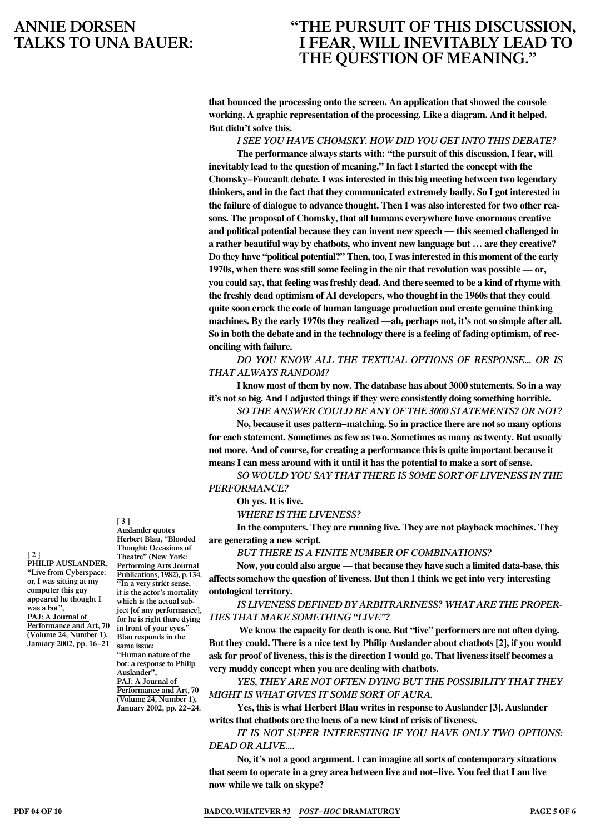# **"The pursuit of this discussion, I fear, will inevitably lead to the question of meaning."**

**that bounced the processing onto the screen. An application that showed the console working. A graphic representation of the processing. Like a diagram. And it helped. But didn't solve this.**

*I see you have Chomsky. How did you get into this debate?*

**The performance always starts with: "the pursuit of this discussion, I fear, will inevitably lead to the question of meaning." In fact I started the concept with the Chomsky−Foucault debate. I was interested in this big meeting between two legendary thinkers, and in the fact that they communicated extremely badly. So I got interested in the failure of dialogue to advance thought. Then I was also interested for two other reasons. The proposal of Chomsky, that all humans everywhere have enormous creative and political potential because they can invent new speech — this seemed challenged in a rather beautiful way by chatbots, who invent new language but … are they creative? Do they have "political potential?" Then, too,I wasinterested in this moment of the early 1970s, when there was still some feeling in the air that revolution was possible — or, you could say, that feeling wasfreshly dead. And there seemed to be a kind of rhyme with the freshly dead optimism of AI developers, who thought in the 1960s that they could quite soon crack the code of human language production and create genuine thinking machines. By the early 1970s they realized —ah, perhaps not, it's not so simple after all. So in both the debate and in the technology there is a feeling of fading optimism, of reconciling with failure.**

*Do you know all the textual options of response... or is that always random?*

**I know most of them by now. The database has about 3000 statements. So in a way it's notso big. And I adjusted thingsif they were consistently doing something horrible.**

*So the answer could be any of the 3000 statements? Or not?* **No, because it uses pattern−matching. So in practice there are notso many options for each statement. Sometimes as few as two. Sometimes as many as twenty. But usually not more. And of course, for creating a performance this is quite important because it means I can mess around with it until it has the potential to make a sort of sense.**

*So would you say that there is some sort of liveness in the performance?* 

**Oh yes. It is live.**

*Where is the liveness?*

**In the computers. They are running live. They are not playback machines. They are generating a new script.**

*But there is a finite number of combinations?*

**Now, you could also argue — that because they have such a limited data-base, this affects somehow the question of liveness. But then I think we get into very interesting ontological territory.**

#### *Is liveness defined by arbitrariness? What are the properties that make something "live"?*

**We know the capacity for death is one. But "live" performers are not often dying. But they could. There is a nice text by Philip Auslander about chatbots [2], if you would ask for proof of liveness, this is the direction I would go. That liveness itself becomes a very muddy concept when you are dealing with chatbots.**

*Yes, they are not often dying but the possibility that they might is what gives it some sort of aura.*

**Yes, this is what Herbert Blau writes in response to Auslander [3]. Auslander writes that chatbots are the locus of a new kind of crisis of liveness.**

*It is not super interesting if you have only two options: dead or alive....*

**No, it's not a good argument. I can imagine all sorts of contemporary situations that seem to operate in a grey area between live and not−live. You feel that I am live now while we talk on skype?**

**[ 3 ] Auslander quotes** 

**[ 2 ] Philip Auslander, "Live from Cyberspace: or, I was sitting at my computer this guy appeared he thought I was a bot", PAJ: A Journal of Performance and Art, 70 (Volume 24, Number 1), January 2002, pp. 16−21**

**Herbert Blau, "Blooded Thought: Occasions of Theatre" (New York: Performing Arts Journal Publications, 1982), p.134. "In a very strict sense, it is the actor's mortality which is the actual subject [of any performance], for he is right there dying in front of your eyes." Blau responds in the same issue: "Human nature of the bot: a response to Philip Auslander", PAJ: A Journal of Performance and Art, 70 (Volume 24, Number 1), January 2002, pp. 22−24.**